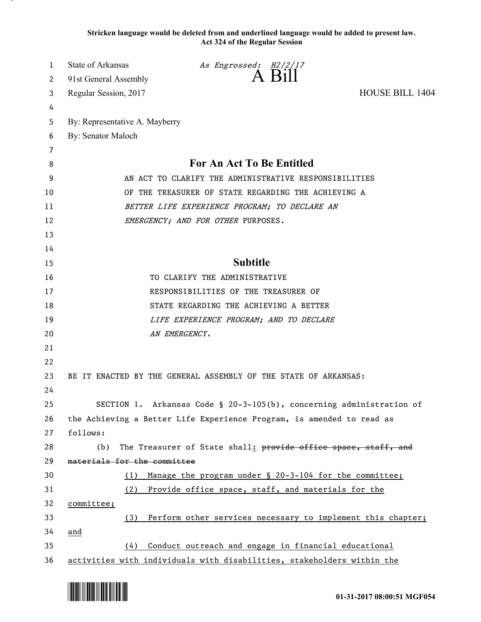**Stricken language would be deleted from and underlined language would be added to present law. Act 324 of the Regular Session**

| 1  | State of Arkansas                                                      | As Engrossed: H2/2/17<br>A Bill                                       |                 |  |
|----|------------------------------------------------------------------------|-----------------------------------------------------------------------|-----------------|--|
| 2  | 91st General Assembly                                                  |                                                                       |                 |  |
| 3  | Regular Session, 2017                                                  |                                                                       | HOUSE BILL 1404 |  |
| 4  |                                                                        |                                                                       |                 |  |
| 5  | By: Representative A. Mayberry                                         |                                                                       |                 |  |
| 6  | By: Senator Maloch                                                     |                                                                       |                 |  |
| 7  |                                                                        |                                                                       |                 |  |
| 8  | <b>For An Act To Be Entitled</b>                                       |                                                                       |                 |  |
| 9  | AN ACT TO CLARIFY THE ADMINISTRATIVE RESPONSIBILITIES                  |                                                                       |                 |  |
| 10 | OF THE TREASURER OF STATE REGARDING THE ACHIEVING A                    |                                                                       |                 |  |
| 11 | BETTER LIFE EXPERIENCE PROGRAM; TO DECLARE AN                          |                                                                       |                 |  |
| 12 |                                                                        | EMERGENCY; AND FOR OTHER PURPOSES.                                    |                 |  |
| 13 |                                                                        |                                                                       |                 |  |
| 14 |                                                                        |                                                                       |                 |  |
| 15 |                                                                        | <b>Subtitle</b>                                                       |                 |  |
| 16 | TO CLARIFY THE ADMINISTRATIVE                                          |                                                                       |                 |  |
| 17 | RESPONSIBILITIES OF THE TREASURER OF                                   |                                                                       |                 |  |
| 18 | STATE REGARDING THE ACHIEVING A BETTER                                 |                                                                       |                 |  |
| 19 | LIFE EXPERIENCE PROGRAM; AND TO DECLARE                                |                                                                       |                 |  |
| 20 |                                                                        | AN EMERGENCY.                                                         |                 |  |
| 21 |                                                                        |                                                                       |                 |  |
| 22 |                                                                        |                                                                       |                 |  |
| 23 |                                                                        | BE IT ENACTED BY THE GENERAL ASSEMBLY OF THE STATE OF ARKANSAS:       |                 |  |
| 24 |                                                                        |                                                                       |                 |  |
| 25 |                                                                        | SECTION 1. Arkansas Code § 20-3-105(b), concerning administration of  |                 |  |
| 26 |                                                                        | the Achieving a Better Life Experience Program, is amended to read as |                 |  |
| 27 | follows:                                                               |                                                                       |                 |  |
| 28 | (b)                                                                    | The Treasurer of State shall: provide office space, staff, and        |                 |  |
| 29 | materials for the committee                                            |                                                                       |                 |  |
| 30 | Manage the program under § 20-3-104 for the committee;<br>(1)          |                                                                       |                 |  |
| 31 | (2)                                                                    | Provide office space, staff, and materials for the                    |                 |  |
| 32 | committee;                                                             |                                                                       |                 |  |
| 33 | (3)                                                                    | Perform other services necessary to implement this chapter;           |                 |  |
| 34 | and                                                                    |                                                                       |                 |  |
| 35 | (4)                                                                    | Conduct outreach and engage in financial educational                  |                 |  |
| 36 | activities with individuals with disabilities, stakeholders within the |                                                                       |                 |  |